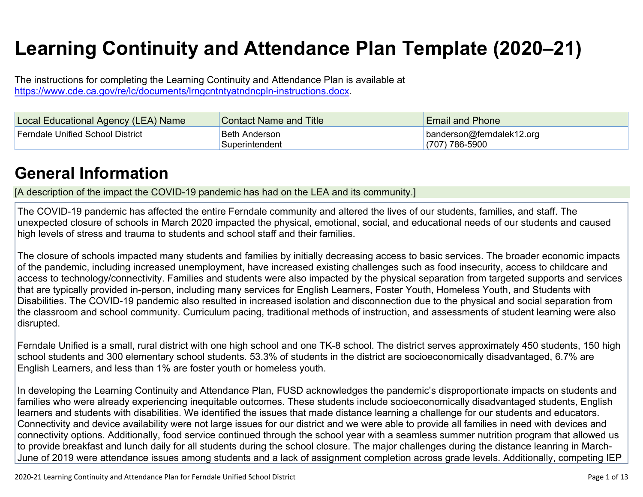# **Learning Continuity and Attendance Plan Template (2020–21)**

The instructions for completing the Learning Continuity and Attendance Plan is available at <https://www.cde.ca.gov/re/lc/documents/lrngcntntyatndncpln-instructions.docx>.

| Local Educational Agency (LEA) Name | <b>Contact Name and Title</b>    | <b>Email and Phone</b>                          |
|-------------------------------------|----------------------------------|-------------------------------------------------|
| Ferndale Unified School District    | Beth Anderson<br>'Superintendent | banderson@ferndalek12.org<br>$(707) 786 - 5900$ |

### **General [Information](http://www.doc-tracking.com/screenshots/20LCP/Instructions/20LCPInstructions.htm#generalinformation)**

[A description of the impact the COVID-19 pandemic has had on the LEA and its community.]

The COVID-19 pandemic has affected the entire Ferndale community and altered the lives of our students, families, and staff. The unexpected closure of schools in March 2020 impacted the physical, emotional, social, and educational needs of our students and caused high levels of stress and trauma to students and school staff and their families.

The closure of schools impacted many students and families by initially decreasing access to basic services. The broader economic impacts of the pandemic, including increased unemployment, have increased existing challenges such as food insecurity, access to childcare and access to technology/connectivity. Families and students were also impacted by the physical separation from targeted supports and services that are typically provided in-person, including many services for English Learners, Foster Youth, Homeless Youth, and Students with Disabilities. The COVID-19 pandemic also resulted in increased isolation and disconnection due to the physical and social separation from the classroom and school community. Curriculum pacing, traditional methods of instruction, and assessments of student learning were also disrupted.

Ferndale Unified is a small, rural district with one high school and one TK-8 school. The district serves approximately 450 students, 150 high school students and 300 elementary school students. 53.3% of students in the district are socioeconomically disadvantaged, 6.7% are English Learners, and less than 1% are foster youth or homeless youth.

In developing the Learning Continuity and Attendance Plan, FUSD acknowledges the pandemic's disproportionate impacts on students and families who were already experiencing inequitable outcomes. These students include socioeconomically disadvantaged students, English learners and students with disabilities. We identified the issues that made distance learning a challenge for our students and educators. Connectivity and device availability were not large issues for our district and we were able to provide all families in need with devices and connectivity options. Additionally, food service continued through the school year with a seamless summer nutrition program that allowed us to provide breakfast and lunch daily for all students during the school closure. The major challenges during the distance leanring in March-June of 2019 were attendance issues among students and a lack of assignment completion across grade levels. Additionally, competing IEP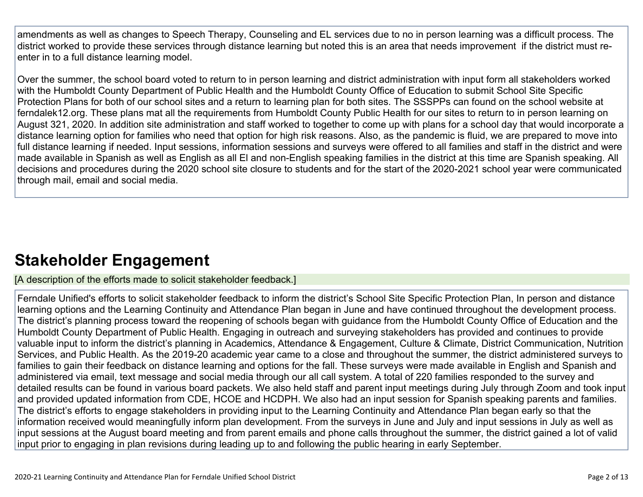amendments as well as changes to Speech Therapy, Counseling and EL services due to no in person learning was a difficult process. The district worked to provide these services through distance learning but noted this is an area that needs improvement if the district must reenter in to a full distance learning model.

Over the summer, the school board voted to return to in person learning and district administration with input form all stakeholders worked with the Humboldt County Department of Public Health and the Humboldt County Office of Education to submit School Site Specific Protection Plans for both of our school sites and a return to learning plan for both sites. The SSSPPs can found on the school website at ferndalek12.org. These plans mat all the requirements from Humboldt County Public Health for our sites to return to in person learning on August 321, 2020. In addition site administration and staff worked to together to come up with plans for a school day that would incorporate a distance learning option for families who need that option for high risk reasons. Also, as the pandemic is fluid, we are prepared to move into full distance learning if needed. Input sessions, information sessions and surveys were offered to all families and staff in the district and were made available in Spanish as well as English as all El and non-English speaking families in the district at this time are Spanish speaking. All decisions and procedures during the 2020 school site closure to students and for the start of the 2020-2021 school year were communicated through mail, email and social media.

### **Stakeholder [Engagement](http://www.doc-tracking.com/screenshots/20LCP/Instructions/20LCPInstructions.htm#stakeholderengagement)**

[A description of the efforts made to solicit stakeholder feedback.]

Ferndale Unified's efforts to solicit stakeholder feedback to inform the district's School Site Specific Protection Plan, In person and distance learning options and the Learning Continuity and Attendance Plan began in June and have continued throughout the development process. The district's planning process toward the reopening of schools began with guidance from the Humboldt County Office of Education and the Humboldt County Department of Public Health. Engaging in outreach and surveying stakeholders has provided and continues to provide valuable input to inform the district's planning in Academics, Attendance & Engagement, Culture & Climate, District Communication, Nutrition Services, and Public Health. As the 2019-20 academic year came to a close and throughout the summer, the district administered surveys to families to gain their feedback on distance learning and options for the fall. These surveys were made available in English and Spanish and administered via email, text message and social media through our all call system. A total of 220 families responded to the survey and detailed results can be found in various board packets. We also held staff and parent input meetings during July through Zoom and took input and provided updated information from CDE, HCOE and HCDPH. We also had an input session for Spanish speaking parents and families. The district's efforts to engage stakeholders in providing input to the Learning Continuity and Attendance Plan began early so that the information received would meaningfully inform plan development. From the surveys in June and July and input sessions in July as well as input sessions at the August board meeting and from parent emails and phone calls throughout the summer, the district gained a lot of valid input prior to engaging in plan revisions during leading up to and following the public hearing in early September.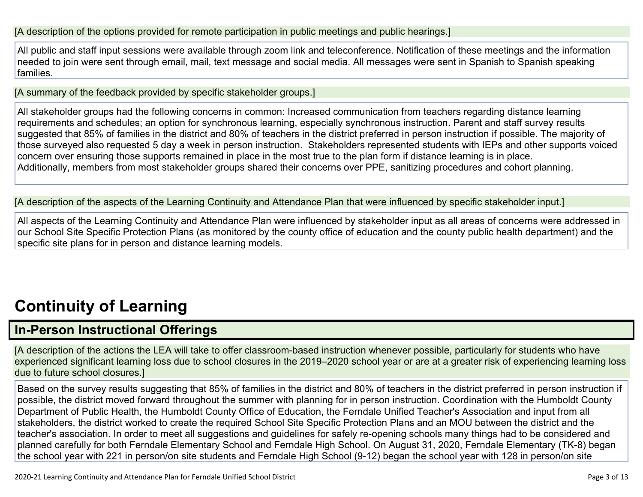#### [A description of the options provided for remote participation in public meetings and public hearings.]

All public and staff input sessions were available through zoom link and teleconference. Notification of these meetings and the information needed to join were sent through email, mail, text message and social media. All messages were sent in Spanish to Spanish speaking families.

[A summary of the feedback provided by specific stakeholder groups.]

All stakeholder groups had the following concerns in common: Increased communication from teachers regarding distance learning requirements and schedules; an option for synchronous learning, especially synchronous instruction. Parent and staff survey results suggested that 85% of families in the district and 80% of teachers in the district preferred in person instruction if possible. The majority of those surveyed also requested 5 day a week in person instruction. Stakeholders represented students with IEPs and other supports voiced concern over ensuring those supports remained in place in the most true to the plan form if distance learning is in place. Additionally, members from most stakeholder groups shared their concerns over PPE, sanitizing procedures and cohort planning.

[A description of the aspects of the Learning Continuity and Attendance Plan that were influenced by specific stakeholder input.]

All aspects of the Learning Continuity and Attendance Plan were influenced by stakeholder input as all areas of concerns were addressed in our School Site Specific Protection Plans (as monitored by the county office of education and the county public health department) and the specific site plans for in person and distance learning models.

# **[Continuity](http://www.doc-tracking.com/screenshots/20LCP/Instructions/20LCPInstructions.htm#ContinuityofLearning) of Learnin[g](http://www.doc-tracking.com/screenshots/20LCP/Instructions/20LCPInstructions.htm#ContinuityofLearning)**

### **In-Person [Instructional](http://www.doc-tracking.com/screenshots/20LCP/Instructions/20LCPInstructions.htm#ContinuityofLearning1) Offerings**

[A description of the actions the LEA will take to offer classroom-based instruction whenever possible, particularly for students who have experienced significant learning loss due to school closures in the 2019–2020 school year or are at a greater risk of experiencing learning loss due to future school closures.]

Based on the survey results suggesting that 85% of families in the district and 80% of teachers in the district preferred in person instruction if possible, the district moved forward throughout the summer with planning for in person instruction. Coordination with the Humboldt County Department of Public Health, the Humboldt County Office of Education, the Ferndale Unified Teacher's Association and input from all stakeholders, the district worked to create the required School Site Specific Protection Plans and an MOU between the district and the teacher's association. In order to meet all suggestions and guidelines for safely re-opening schools many things had to be considered and planned carefully for both Ferndale Elementary School and Ferndale High School. On August 31, 2020, Ferndale Elementary (TK-8) began the school year with 221 in person/on site students and Ferndale High School (9-12) began the school year with 128 in person/on site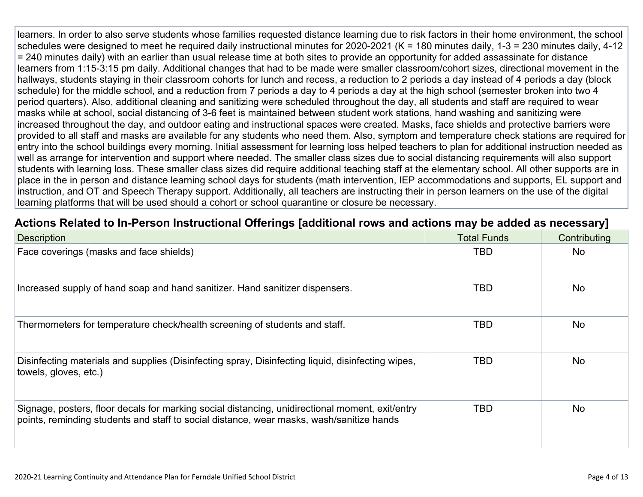learners. In order to also serve students whose families requested distance learning due to risk factors in their home environment, the school schedules were designed to meet he required daily instructional minutes for 2020-2021 (K = 180 minutes daily, 1-3 = 230 minutes daily, 4-12 = 240 minutes daily) with an earlier than usual release time at both sites to provide an opportunity for added assassinate for distance learners from 1:15-3:15 pm daily. Additional changes that had to be made were smaller classroom/cohort sizes, directional movement in the hallways, students staying in their classroom cohorts for lunch and recess, a reduction to 2 periods a day instead of 4 periods a day (block schedule) for the middle school, and a reduction from 7 periods a day to 4 periods a day at the high school (semester broken into two 4 period quarters). Also, additional cleaning and sanitizing were scheduled throughout the day, all students and staff are required to wear masks while at school, social distancing of 3-6 feet is maintained between student work stations, hand washing and sanitizing were increased throughout the day, and outdoor eating and instructional spaces were created. Masks, face shields and protective barriers were provided to all staff and masks are available for any students who need them. Also, symptom and temperature check stations are required for entry into the school buildings every morning. Initial assessment for learning loss helped teachers to plan for additional instruction needed as well as arrange for intervention and support where needed. The smaller class sizes due to social distancing requirements will also support students with learning loss. These smaller class sizes did require additional teaching staff at the elementary school. All other supports are in place in the in person and distance learning school days for students (math intervention, IEP accommodations and supports, EL support and instruction, and OT and Speech Therapy support. Additionally, all teachers are instructing their in person learners on the use of the digital learning platforms that will be used should a cohort or school quarantine or closure be necessary.

#### **Actions Related to In-Person [Instructional](http://www.doc-tracking.com/screenshots/20LCP/Instructions/20LCPInstructions.htm#ContinuityofLearning2) Offerings [additional rows and actions may be added as necessary]**

| <b>Description</b>                                                                                                                                                                          | <b>Total Funds</b> | Contributing |
|---------------------------------------------------------------------------------------------------------------------------------------------------------------------------------------------|--------------------|--------------|
| Face coverings (masks and face shields)                                                                                                                                                     | TBD                | <b>No</b>    |
| Increased supply of hand soap and hand sanitizer. Hand sanitizer dispensers.                                                                                                                | TBD                | <b>No</b>    |
| Thermometers for temperature check/health screening of students and staff.                                                                                                                  | TBD                | <b>No</b>    |
| Disinfecting materials and supplies (Disinfecting spray, Disinfecting liquid, disinfecting wipes,<br>towels, gloves, etc.)                                                                  | TBD                | <b>No</b>    |
| Signage, posters, floor decals for marking social distancing, unidirectional moment, exit/entry<br>points, reminding students and staff to social distance, wear masks, wash/sanitize hands | TBD                | <b>No</b>    |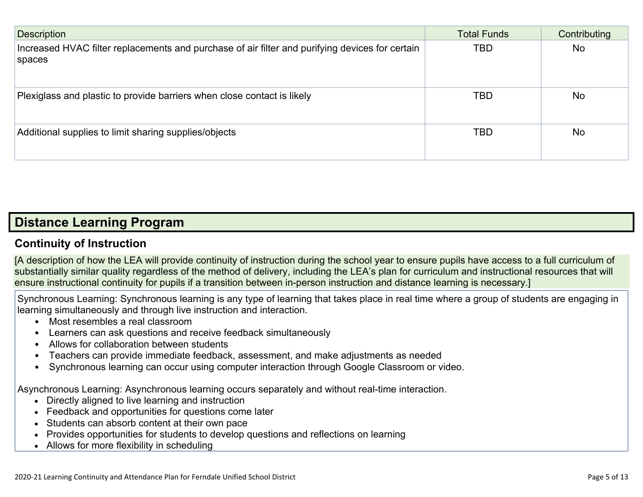| <b>Description</b>                                                                                        | <b>Total Funds</b> | Contributing |
|-----------------------------------------------------------------------------------------------------------|--------------------|--------------|
| Increased HVAC filter replacements and purchase of air filter and purifying devices for certain<br>spaces | <b>TBD</b>         | <b>No</b>    |
| Plexiglass and plastic to provide barriers when close contact is likely                                   | <b>TBD</b>         | <b>No</b>    |
| Additional supplies to limit sharing supplies/objects                                                     | <b>TBD</b>         | <b>No</b>    |

### **Distance [Learning](http://www.doc-tracking.com/screenshots/20LCP/Instructions/20LCPInstructions.htm#DistanceLearningProgram) Program**

#### **Continuity of [Instruction](http://www.doc-tracking.com/screenshots/20LCP/Instructions/20LCPInstructions.htm#DistanceLearningProgram1)**

[A description of how the LEA will provide continuity of instruction during the school year to ensure pupils have access to a full curriculum of substantially similar quality regardless of the method of delivery, including the LEA's plan for curriculum and instructional resources that will ensure instructional continuity for pupils if a transition between in-person instruction and distance learning is necessary.]

Synchronous Learning: Synchronous learning is any type of learning that takes place in real time where a group of students are engaging in learning simultaneously and through live instruction and interaction.

- Most resembles a real classroom
- Learners can ask questions and receive feedback simultaneously
- Allows for collaboration between students
- Teachers can provide immediate feedback, assessment, and make adjustments as needed
- Synchronous learning can occur using computer interaction through Google Classroom or video.

Asynchronous Learning: Asynchronous learning occurs separately and without real-time interaction.

- Directly aligned to live learning and instruction
- Feedback and opportunities for questions come later
- Students can absorb content at their own pace
- Provides opportunities for students to develop questions and reflections on learning
- Allows for more flexibility in scheduling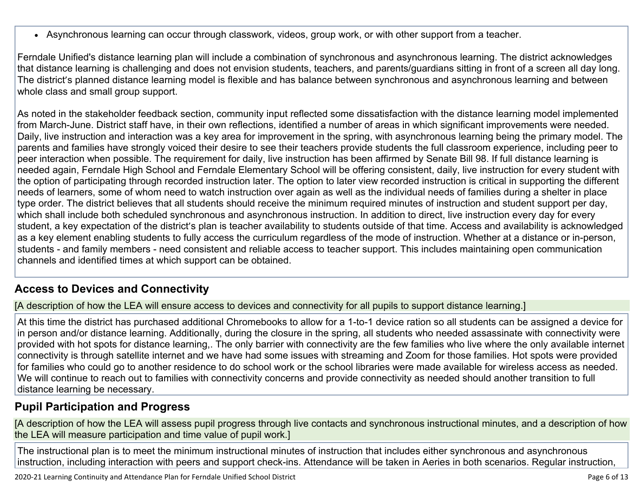Asynchronous learning can occur through classwork, videos, group work, or with other support from a teacher.

Ferndale Unified's distance learning plan will include a combination of synchronous and asynchronous learning. The district acknowledges that distance learning is challenging and does not envision students, teachers, and parents/guardians sitting in front of a screen all day long. The district's planned distance learning model is flexible and has balance between synchronous and asynchronous learning and between whole class and small group support.

As noted in the stakeholder feedback section, community input reflected some dissatisfaction with the distance learning model implemented from March-June. District staff have, in their own reflections, identified a number of areas in which significant improvements were needed. Daily, live instruction and interaction was a key area for improvement in the spring, with asynchronous learning being the primary model. The parents and families have strongly voiced their desire to see their teachers provide students the full classroom experience, including peer to peer interaction when possible. The requirement for daily, live instruction has been affirmed by Senate Bill 98. If full distance learning is needed again, Ferndale High School and Ferndale Elementary School will be offering consistent, daily, live instruction for every student with the option of participating through recorded instruction later. The option to later view recorded instruction is critical in supporting the different needs of learners, some of whom need to watch instruction over again as well as the individual needs of families during a shelter in place type order. The district believes that all students should receive the minimum required minutes of instruction and student support per day, which shall include both scheduled synchronous and asynchronous instruction. In addition to direct, live instruction every day for every student, a key expectation of the district's plan is teacher availability to students outside of that time. Access and availability is acknowledged as a key element enabling students to fully access the curriculum regardless of the mode of instruction. Whether at a distance or in-person, students - and family members - need consistent and reliable access to teacher support. This includes maintaining open communication channels and identified times at which support can be obtained.

#### **Access to Devices and [Connectivity](http://www.doc-tracking.com/screenshots/20LCP/Instructions/20LCPInstructions.htm#DistanceLearningProgram2)**

[A description of how the LEA will ensure access to devices and connectivity for all pupils to support distance learning.]

At this time the district has purchased additional Chromebooks to allow for a 1-to-1 device ration so all students can be assigned a device for in person and/or distance learning. Additionally, during the closure in the spring, all students who needed assassinate with connectivity were provided with hot spots for distance learning,. The only barrier with connectivity are the few families who live where the only available internet connectivity is through satellite internet and we have had some issues with streaming and Zoom for those families. Hot spots were provided for families who could go to another residence to do school work or the school libraries were made available for wireless access as needed. We will continue to reach out to families with connectivity concerns and provide connectivity as needed should another transition to full distance learning be necessary.

#### **Pupil [Participation](http://www.doc-tracking.com/screenshots/20LCP/Instructions/20LCPInstructions.htm#DistanceLearningProgram3) and Progress**

[A description of how the LEA will assess pupil progress through live contacts and synchronous instructional minutes, and a description of how the LEA will measure participation and time value of pupil work.]

The instructional plan is to meet the minimum instructional minutes of instruction that includes either synchronous and asynchronous instruction, including interaction with peers and support check-ins. Attendance will be taken in Aeries in both scenarios. Regular instruction,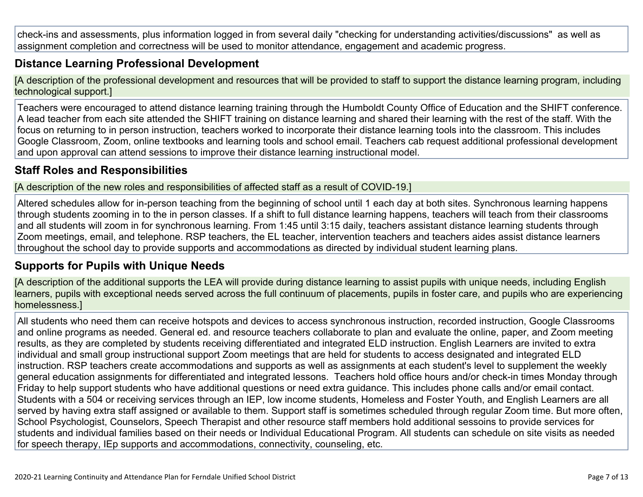check-ins and assessments, plus information logged in from several daily "checking for understanding activities/discussions" as well as assignment completion and correctness will be used to monitor attendance, engagement and academic progress.

#### **Distance Learning Professional [Development](http://www.doc-tracking.com/screenshots/20LCP/Instructions/20LCPInstructions.htm#DistanceLearningProgram4)**

[A description of the professional development and resources that will be provided to staff to support the distance learning program, including technological support.]

Teachers were encouraged to attend distance learning training through the Humboldt County Office of Education and the SHIFT conference. A lead teacher from each site attended the SHIFT training on distance learning and shared their learning with the rest of the staff. With the focus on returning to in person instruction, teachers worked to incorporate their distance learning tools into the classroom. This includes Google Classroom, Zoom, online textbooks and learning tools and school email. Teachers cab request additional professional development and upon approval can attend sessions to improve their distance learning instructional model.

#### **Staff Roles and [Responsibilities](http://www.doc-tracking.com/screenshots/20LCP/Instructions/20LCPInstructions.htm#DistanceLearningProgram5)**

[A description of the new roles and responsibilities of affected staff as a result of COVID-19.]

Altered schedules allow for in-person teaching from the beginning of school until 1 each day at both sites. Synchronous learning happens through students zooming in to the in person classes. If a shift to full distance learning happens, teachers will teach from their classrooms and all students will zoom in for synchronous learning. From 1:45 until 3:15 daily, teachers assistant distance learning students through Zoom meetings, email, and telephone. RSP teachers, the EL teacher, intervention teachers and teachers aides assist distance learners throughout the school day to provide supports and accommodations as directed by individual student learning plans.

#### **[Supports](http://www.doc-tracking.com/screenshots/20LCP/Instructions/20LCPInstructions.htm#DistanceLearningProgram6) for Pupils with Unique Needs**

[A description of the additional supports the LEA will provide during distance learning to assist pupils with unique needs, including English learners, pupils with exceptional needs served across the full continuum of placements, pupils in foster care, and pupils who are experiencing homelessness.]

All students who need them can receive hotspots and devices to access synchronous instruction, recorded instruction, Google Classrooms and online programs as needed. General ed. and resource teachers collaborate to plan and evaluate the online, paper, and Zoom meeting results, as they are completed by students receiving differentiated and integrated ELD instruction. English Learners are invited to extra individual and small group instructional support Zoom meetings that are held for students to access designated and integrated ELD instruction. RSP teachers create accommodations and supports as well as assignments at each student's level to supplement the weekly general education assignments for differentiated and integrated lessons. Teachers hold office hours and/or check-in times Monday through Friday to help support students who have additional questions or need extra guidance. This includes phone calls and/or email contact. Students with a 504 or receiving services through an IEP, low income students, Homeless and Foster Youth, and English Learners are all served by having extra staff assigned or available to them. Support staff is sometimes scheduled through regular Zoom time. But more often, School Psychologist, Counselors, Speech Therapist and other resource staff members hold additional sessoins to provide services for students and individual families based on their needs or Individual Educational Program. All students can schedule on site visits as needed for speech therapy, IEp supports and accommodations, connectivity, counseling, etc.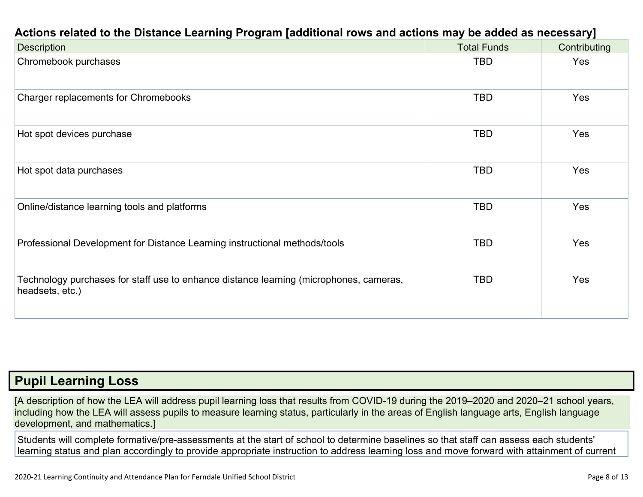| <b>Description</b>                                                                                        | <b>Total Funds</b> | Contributing |
|-----------------------------------------------------------------------------------------------------------|--------------------|--------------|
| Chromebook purchases                                                                                      | TBD                | Yes          |
| Charger replacements for Chromebooks                                                                      | TBD                | <b>Yes</b>   |
| Hot spot devices purchase                                                                                 | TBD                | Yes          |
| Hot spot data purchases                                                                                   | <b>TBD</b>         | <b>Yes</b>   |
| Online/distance learning tools and platforms                                                              | <b>TBD</b>         | Yes          |
| Professional Development for Distance Learning instructional methods/tools                                | TBD                | Yes          |
| Technology purchases for staff use to enhance distance learning (microphones, cameras,<br>headsets, etc.) | <b>TBD</b>         | Yes          |

### **Pupil [Learning](http://www.doc-tracking.com/screenshots/20LCP/Instructions/20LCPInstructions.htm#PupilLearningLoss) Loss**

[A description of how the LEA will address pupil learning loss that results from COVID-19 during the 2019–2020 and 2020–21 school years, including how the LEA will assess pupils to measure learning status, particularly in the areas of English language arts, English language development, and mathematics.]

Students will complete formative/pre-assessments at the start of school to determine baselines so that staff can assess each students' learning status and plan accordingly to provide appropriate instruction to address learning loss and move forward with attainment of current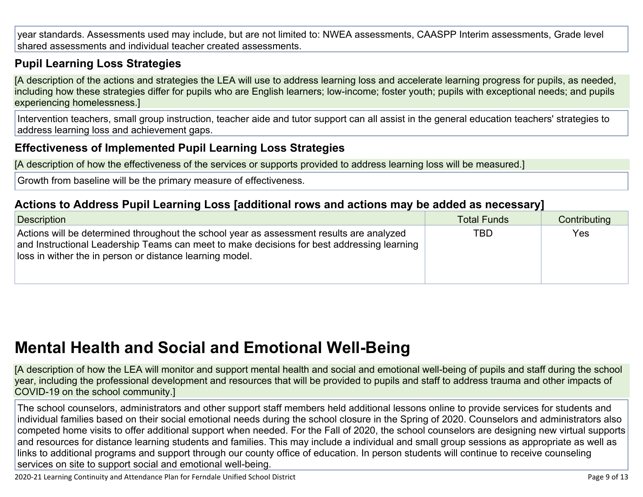year standards. Assessments used may include, but are not limited to: NWEA assessments, CAASPP Interim assessments, Grade level shared assessments and individual teacher created assessments.

#### **Pupil Learning Loss [Strategies](http://www.doc-tracking.com/screenshots/20LCP/Instructions/20LCPInstructions.htm#PupilLearningLoss1)**

[A description of the actions and strategies the LEA will use to address learning loss and accelerate learning progress for pupils, as needed, including how these strategies differ for pupils who are English learners; low-income; foster youth; pupils with exceptional needs; and pupils experiencing homelessness.]

Intervention teachers, small group instruction, teacher aide and tutor support can all assist in the general education teachers' strategies to address learning loss and achievement gaps.

#### **[Effectiveness](http://www.doc-tracking.com/screenshots/20LCP/Instructions/20LCPInstructions.htm#PupilLearningLoss2) of Implemented Pupil Learning Loss Strategies**

[A description of how the effectiveness of the services or supports provided to address learning loss will be measured.]

Growth from baseline will be the primary measure of effectiveness.

#### **Actions to Address Pupil Learning Loss [additional rows and actions may be added as [necessary\]](http://www.doc-tracking.com/screenshots/20LCP/Instructions/20LCPInstructions.htm#PupilLearningLoss4)**

| Description                                                                                                                                                                                                                                        | <b>Total Funds</b> | Contributing |
|----------------------------------------------------------------------------------------------------------------------------------------------------------------------------------------------------------------------------------------------------|--------------------|--------------|
| Actions will be determined throughout the school year as assessment results are analyzed<br>and Instructional Leadership Teams can meet to make decisions for best addressing learning<br>loss in wither the in person or distance learning model. | <b>TBD</b>         | <b>Yes</b>   |

### **Mental Health and Social and Emotional [Well-Being](http://www.doc-tracking.com/screenshots/20LCP/Instructions/20LCPInstructions.htm#MentalHealthandSocialandEmotional)**

[A description of how the LEA will monitor and support mental health and social and emotional well-being of pupils and staff during the school year, including the professional development and resources that will be provided to pupils and staff to address trauma and other impacts of COVID-19 on the school community.]

The school counselors, administrators and other support staff members held additional lessons online to provide services for students and individual families based on their social emotional needs during the school closure in the Spring of 2020. Counselors and administrators also competed home visits to offer additional support when needed. For the Fall of 2020, the school counselors are designing new virtual supports and resources for distance learning students and families. This may include a individual and small group sessions as appropriate as well as links to additional programs and support through our county office of education. In person students will continue to receive counseling services on site to support social and emotional well-being.

2020-21 Learning Continuity and Attendance Plan for Ferndale Unified School District Page 9 of 13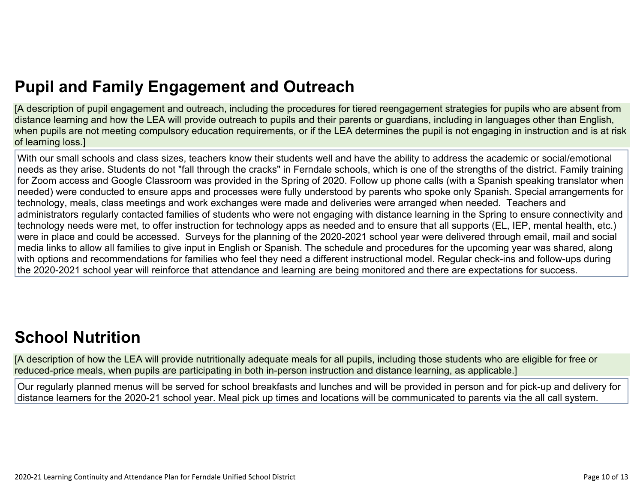# **Pupil and Family [Engagement](http://www.doc-tracking.com/screenshots/20LCP/Instructions/20LCPInstructions.htm#PupilEngagementandOutreach) and Outreach**

[A description of pupil engagement and outreach, including the procedures for tiered reengagement strategies for pupils who are absent from distance learning and how the LEA will provide outreach to pupils and their parents or guardians, including in languages other than English, when pupils are not meeting compulsory education requirements, or if the LEA determines the pupil is not engaging in instruction and is at risk of learning loss.]

With our small schools and class sizes, teachers know their students well and have the ability to address the academic or social/emotional needs as they arise. Students do not "fall through the cracks" in Ferndale schools, which is one of the strengths of the district. Family training for Zoom access and Google Classroom was provided in the Spring of 2020. Follow up phone calls (with a Spanish speaking translator when needed) were conducted to ensure apps and processes were fully understood by parents who spoke only Spanish. Special arrangements for technology, meals, class meetings and work exchanges were made and deliveries were arranged when needed. Teachers and administrators regularly contacted families of students who were not engaging with distance learning in the Spring to ensure connectivity and technology needs were met, to offer instruction for technology apps as needed and to ensure that all supports (EL, IEP, mental health, etc.) were in place and could be accessed. Surveys for the planning of the 2020-2021 school year were delivered through email, mail and social media links to allow all families to give input in English or Spanish. The schedule and procedures for the upcoming year was shared, along with options and recommendations for families who feel they need a different instructional model. Regular check-ins and follow-ups during the 2020-2021 school year will reinforce that attendance and learning are being monitored and there are expectations for success.

# **School [Nutrition](http://www.doc-tracking.com/screenshots/20LCP/Instructions/20LCPInstructions.htm#SchoolNutrition)**

[A description of how the LEA will provide nutritionally adequate meals for all pupils, including those students who are eligible for free or reduced-price meals, when pupils are participating in both in-person instruction and distance learning, as applicable.]

Our regularly planned menus will be served for school breakfasts and lunches and will be provided in person and for pick-up and delivery for distance learners for the 2020-21 school year. Meal pick up times and locations will be communicated to parents via the all call system.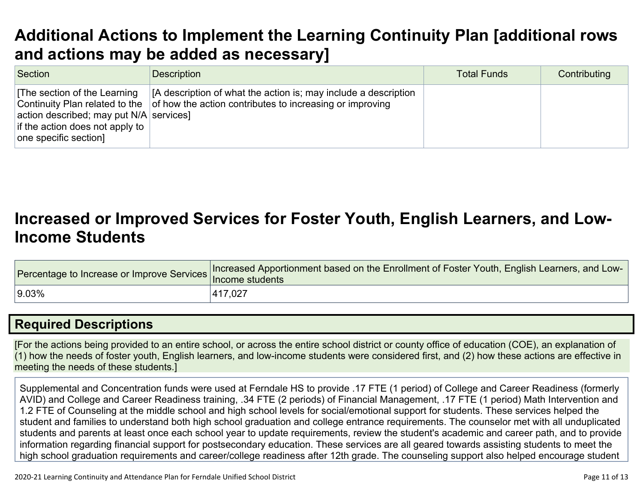# **Additional Actions to Implement the Learning Continuity Plan [\[additional](http://www.doc-tracking.com/screenshots/20LCP/Instructions/20LCPInstructions.htm#AdditionalActions) rows and actions may be added as [necessary\]](http://www.doc-tracking.com/screenshots/20LCP/Instructions/20LCPInstructions.htm#AdditionalActions)**

| Section                                                                                                                                                                | <b>Description</b>                                                                                                          | <b>Total Funds</b> | Contributing |
|------------------------------------------------------------------------------------------------------------------------------------------------------------------------|-----------------------------------------------------------------------------------------------------------------------------|--------------------|--------------|
| The section of the Learning<br>Continuity Plan related to the<br>action described; may put $N/A$ services]<br>if the action does not apply to<br>one specific section] | [A description of what the action is; may include a description<br>of how the action contributes to increasing or improving |                    |              |

### **[Increased](http://www.doc-tracking.com/screenshots/20LCP/Instructions/20LCPInstructions.htm#IncreasedorImprovedServices) or Improved Services for Foster Youth, English Learners, and Low-Income [Students](http://www.doc-tracking.com/screenshots/20LCP/Instructions/20LCPInstructions.htm#IncreasedorImprovedServices)**

| Providentage to Increase or Improve Services Increased the Students | Increased Apportionment based on the Enrollment of Foster Youth, English Learners, and Low- |
|---------------------------------------------------------------------|---------------------------------------------------------------------------------------------|
| $ 9.03\%$                                                           | 417,027                                                                                     |

#### **Required [Descriptions](http://www.doc-tracking.com/screenshots/20LCP/Instructions/20LCPInstructions.htm#RequiredDescriptions)**

[For the actions being provided to an entire school, or across the entire school district or county office of education (COE), an explanation of (1) how the needs of foster youth, English learners, and low-income students were considered first, and (2) how these actions are effective in meeting the needs of these students.]

Supplemental and Concentration funds were used at Ferndale HS to provide .17 FTE (1 period) of College and Career Readiness (formerly AVID) and College and Career Readiness training, .34 FTE (2 periods) of Financial Management, .17 FTE (1 period) Math Intervention and 1.2 FTE of Counseling at the middle school and high school levels for social/emotional support for students. These services helped the student and families to understand both high school graduation and college entrance requirements. The counselor met with all unduplicated students and parents at least once each school year to update requirements, review the student's academic and career path, and to provide information regarding financial support for postsecondary education. These services are all geared towards assisting students to meet the high school graduation requirements and career/college readiness after 12th grade. The counseling support also helped encourage student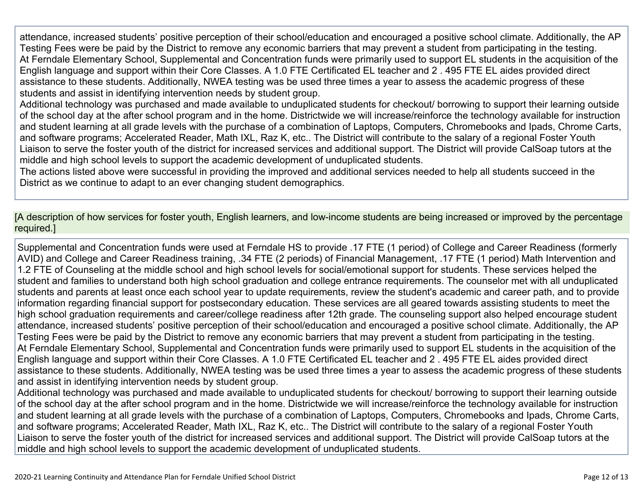attendance, increased students' positive perception of their school/education and encouraged a positive school climate. Additionally, the AP Testing Fees were be paid by the District to remove any economic barriers that may prevent a student from participating in the testing. At Ferndale Elementary School, Supplemental and Concentration funds were primarily used to support EL students in the acquisition of the English language and support within their Core Classes. A 1.0 FTE Certificated EL teacher and 2 . 495 FTE EL aides provided direct assistance to these students. Additionally, NWEA testing was be used three times a year to assess the academic progress of these students and assist in identifying intervention needs by student group.

Additional technology was purchased and made available to unduplicated students for checkout/ borrowing to support their learning outside of the school day at the after school program and in the home. Districtwide we will increase/reinforce the technology available for instruction and student learning at all grade levels with the purchase of a combination of Laptops, Computers, Chromebooks and Ipads, Chrome Carts, and software programs; Accelerated Reader, Math IXL, Raz K, etc.. The District will contribute to the salary of a regional Foster Youth Liaison to serve the foster youth of the district for increased services and additional support. The District will provide CalSoap tutors at the middle and high school levels to support the academic development of unduplicated students.

The actions listed above were successful in providing the improved and additional services needed to help all students succeed in the District as we continue to adapt to an ever changing student demographics.

[A description of how services for foster youth, English learners, and low-income students are being increased or improved by the percentage required.]

Supplemental and Concentration funds were used at Ferndale HS to provide .17 FTE (1 period) of College and Career Readiness (formerly AVID) and College and Career Readiness training, .34 FTE (2 periods) of Financial Management, .17 FTE (1 period) Math Intervention and 1.2 FTE of Counseling at the middle school and high school levels for social/emotional support for students. These services helped the student and families to understand both high school graduation and college entrance requirements. The counselor met with all unduplicated students and parents at least once each school year to update requirements, review the student's academic and career path, and to provide information regarding financial support for postsecondary education. These services are all geared towards assisting students to meet the high school graduation requirements and career/college readiness after 12th grade. The counseling support also helped encourage student attendance, increased students' positive perception of their school/education and encouraged a positive school climate. Additionally, the AP Testing Fees were be paid by the District to remove any economic barriers that may prevent a student from participating in the testing. At Ferndale Elementary School, Supplemental and Concentration funds were primarily used to support EL students in the acquisition of the English language and support within their Core Classes. A 1.0 FTE Certificated EL teacher and 2 . 495 FTE EL aides provided direct assistance to these students. Additionally, NWEA testing was be used three times a year to assess the academic progress of these students and assist in identifying intervention needs by student group.

Additional technology was purchased and made available to unduplicated students for checkout/ borrowing to support their learning outside of the school day at the after school program and in the home. Districtwide we will increase/reinforce the technology available for instruction and student learning at all grade levels with the purchase of a combination of Laptops, Computers, Chromebooks and Ipads, Chrome Carts, and software programs; Accelerated Reader, Math IXL, Raz K, etc.. The District will contribute to the salary of a regional Foster Youth Liaison to serve the foster youth of the district for increased services and additional support. The District will provide CalSoap tutors at the middle and high school levels to support the academic development of unduplicated students.